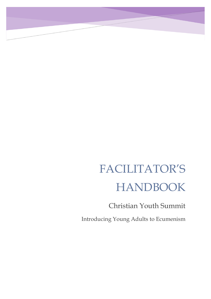# FACILITATOR'S HANDBOOK

Christian Youth Summit

Introducing Young Adults to Ecumenism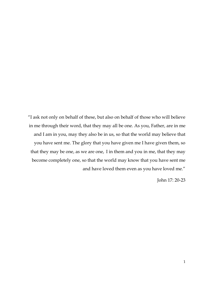"I ask not only on behalf of these, but also on behalf of those who will believe in me through their word, that they may all be one. As you, Father, are in me and I am in you, may they also be in us, so that the world may believe that you have sent me. The glory that you have given me I have given them, so that they may be one, as we are one, I in them and you in me, that they may become completely one, so that the world may know that you have sent me and have loved them even as you have loved me."

John 17: 20-23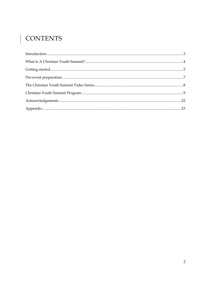# | CONTENTS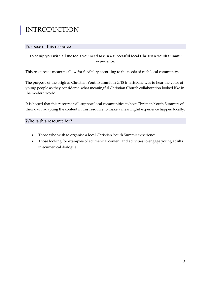# <span id="page-3-0"></span>INTRODUCTION

#### Purpose of this resource

### **To equip you with all the tools you need to run a successful local Christian Youth Summit experience.**

This resource is meant to allow for flexibility according to the needs of each local community.

The purpose of the original Christian Youth Summit in 2018 in Brisbane was to hear the voice of young people as they considered what meaningful Christian Church collaboration looked like in the modern world.

It is hoped that this resource will support local communities to host Christian Youth Summits of their own, adapting the content in this resource to make a meaningful experience happen locally.

Who is this resource for?

- Those who wish to organise a local Christian Youth Summit experience.
- Those looking for examples of ecumenical content and activities to engage young adults in ecumenical dialogue.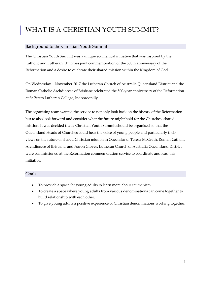# <span id="page-4-0"></span>WHAT IS A CHRISTIAN YOUTH SUMMIT?

#### Background to the Christian Youth Summit

The Christian Youth Summit was a unique ecumenical initiative that was inspired by the Catholic and Lutheran Churches joint commemoration of the 500th anniversary of the Reformation and a desire to celebrate their shared mission within the Kingdom of God.

On Wednesday 1 November 2017 the Lutheran Church of Australia Queensland District and the Roman Catholic Archdiocese of Brisbane celebrated the 500-year anniversary of the Reformation at St Peters Lutheran College, Indooroopilly.

The organising team wanted the service to not only look back on the history of the Reformation but to also look forward and consider what the future might hold for the Churches' shared mission. It was decided that a Christian Youth Summit should be organised so that the Queensland Heads of Churches could hear the voice of young people and particularly their views on the future of shared Christian mission in Queensland. Teresa McGrath, Roman Catholic Archdiocese of Brisbane, and Aaron Glover, Lutheran Church of Australia Queensland District, were commissioned at the Reformation commemoration service to coordinate and lead this initiative.

#### Goals

- To provide a space for young adults to learn more about ecumenism.
- To create a space where young adults from various denominations can come together to build relationship with each other.
- To give young adults a positive experience of Christian denominations working together.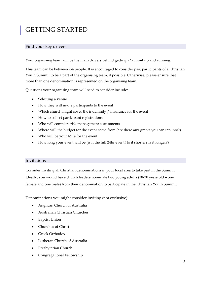# <span id="page-5-0"></span>GETTING STARTED

### Find your key drivers

Your organising team will be the main drivers behind getting a Summit up and running.

This team can be between 2-4 people. It is encouraged to consider past participants of a Christian Youth Summit to be a part of the organising team, if possible. Otherwise, please ensure that more than one denomination is represented on the organising team.

Questions your organising team will need to consider include:

- Selecting a venue
- How they will invite participants to the event
- Which church might cover the indemnity / insurance for the event
- How to collect participant registrations
- Who will complete risk management assessments
- Where will the budget for the event come from (are there any grants you can tap into?)
- Who will be your MCs for the event
- How long your event will be (is it the full 24hr event? Is it shorter? Is it longer?)

#### Invitations

Consider inviting all Christian denominations in your local area to take part in the Summit. Ideally, you would have church leaders nominate two young adults (18-30 years old – one female and one male) from their denomination to participate in the Christian Youth Summit.

Denominations you might consider inviting (not exclusive):

- Anglican Church of Australia
- Australian Christian Churches
- Baptist Union
- Churches of Christ
- Greek Orthodox
- Lutheran Church of Australia
- Presbyterian Church
- Congregational Fellowship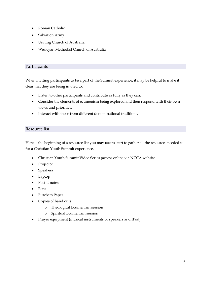- Roman Catholic
- Salvation Army
- Uniting Church of Australia
- Wesleyan Methodist Church of Australia

#### Participants

When inviting participants to be a part of the Summit experience, it may be helpful to make it clear that they are being invited to:

- Listen to other participants and contribute as fully as they can.
- Consider the elements of ecumenism being explored and then respond with their own views and priorities.
- Interact with those from different denominational traditions.

#### Resource list

Here is the beginning of a resource list you may use to start to gather all the resources needed to for a Christian Youth Summit experience.

- Christian Youth Summit Video Series (access online via NCCA website
- Projector
- Speakers
- Laptop
- Post-it notes
- Pens
- Butchers Paper
- Copies of hand outs
	- o Theological Ecumenism session
	- o Spiritual Ecumenism session
- Prayer equipment (musical instruments or speakers and IPod)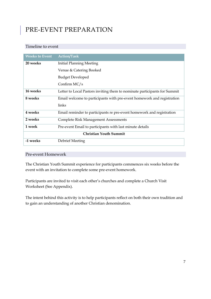# <span id="page-7-0"></span>PRE-EVENT PREPARATION

#### Timeline to event

| <b>Weeks to Event</b> | <b>Action/Task</b>                                                        |
|-----------------------|---------------------------------------------------------------------------|
| 20 weeks              | <b>Initial Planning Meeting</b>                                           |
|                       | Venue & Catering Booked                                                   |
|                       | <b>Budget Developed</b>                                                   |
|                       | Confirm $MC/s$                                                            |
| 16 weeks              | Letter to Local Pastors inviting them to nominate participants for Summit |
| 8 weeks               | Email welcome to participants with pre-event homework and registration    |
|                       | links                                                                     |
| 4 weeks               | Email reminder to participants re pre-event homework and registration     |
| 2 weeks               | <b>Complete Risk Management Assessments</b>                               |
| 1 week                | Pre-event Email to participants with last minute details                  |
|                       | <b>Christian Youth Summit</b>                                             |
| -1 weeks              | Debrief Meeting                                                           |

### Pre-event Homework

The Christian Youth Summit experience for participants commences six weeks before the event with an invitation to complete some pre-event homework.

Participants are invited to visit each other's churches and complete a Church Visit Worksheet (See Appendix).

The intent behind this activity is to help participants reflect on both their own tradition and to gain an understanding of another Christian denomination.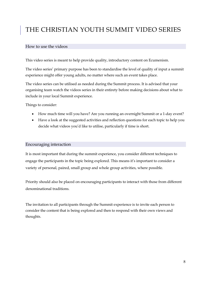# <span id="page-8-0"></span>THE CHRISTIAN YOUTH SUMMIT VIDEO SERIES

#### How to use the videos

This video series is meant to help provide quality, introductory content on Ecumenism.

The video series' primary purpose has been to standardise the level of quality of input a summit experience might offer young adults, no matter where such an event takes place.

The video series can be utilised as needed during the Summit process. It is advised that your organising team watch the videos series in their entirety before making decisions about what to include in your local Summit experience.

Things to consider:

- How much time will you have? Are you running an overnight Summit or a 1-day event?
- Have a look at the suggested activities and reflection questions for each topic to help you decide what videos you'd like to utilise, particularly if time is short.

#### Encouraging interaction

It is most important that during the summit experience, you consider different techniques to engage the participants in the topic being explored. This means it's important to consider a variety of personal, paired, small group and whole group activities, where possible.

Priority should also be placed on encouraging participants to interact with those from different denominational traditions.

The invitation to all participants through the Summit experience is to invite each person to consider the content that is being explored and then to respond with their own views and thoughts.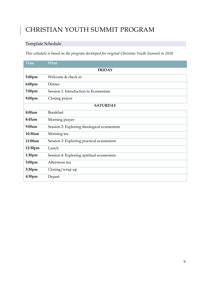# <span id="page-9-0"></span>CHRISTIAN YOUTH SUMMIT PROGRAM

## Template Schedule

*This schedule is based on the program developed for original Christian Youth Summit in 2018*

| <b>Time</b>        | What                                       |  |  |  |
|--------------------|--------------------------------------------|--|--|--|
| <b>FRIDAY</b>      |                                            |  |  |  |
| 5:00pm             | Welcome & check in                         |  |  |  |
| $6:00$ pm          | Dinner                                     |  |  |  |
| 7:00pm             | Session 1: Introduction to Ecumenism       |  |  |  |
| 9:00pm             | Closing prayer                             |  |  |  |
| <b>SATURDAY</b>    |                                            |  |  |  |
| 8:00am             | <b>Breakfast</b>                           |  |  |  |
| 8:45am             | Morning prayer                             |  |  |  |
| 9:00am             | Session 2: Exploring theological ecumenism |  |  |  |
| 10:30am            | Morning tea                                |  |  |  |
| 11:00am            | Session 3: Exploring practical ecumenism   |  |  |  |
| 12:30pm            | Lunch                                      |  |  |  |
| 1:30 <sub>pm</sub> | Session 4: Exploring spiritual ecumenism   |  |  |  |
| 3:00pm             | Afternoon tea                              |  |  |  |
| 3:30pm             | Closing/wrap up                            |  |  |  |
| 4:30pm             | Depart                                     |  |  |  |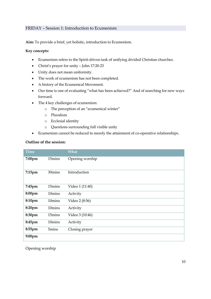#### FRIDAY – Session 1: Introduction to Ecumenism

**Aim:** To provide a brief, yet holistic, introduction to Ecumenism.

#### **Key concepts:**

- Ecumenism refers to the Spirit-driven task of unifying divided Christian churches.
- Christ's prayer for unity John 17:20-23
- Unity does not mean uniformity.
- The work of ecumenism has not been completed.
- A history of the Ecumenical Movement.
- Our time is one of evaluating "what has been achieved?" And of searching for new ways forward.
- The 4 key challenges of ecumenism:
	- o The perception of an "ecumenical winter"
	- o Pluralism
	- o Ecclesial identity
	- o Questions surrounding full visible unity
- Ecumenism cannot be reduced to merely the attainment of co-operative relationships.

#### **Outline of the session:**

| <b>Time</b> |        | <b>What</b>     |
|-------------|--------|-----------------|
| 7:00pm      | 15mins | Opening worship |
| 7:15pm      | 30mins | Introduction    |
| 7:45pm      | 15mins | Video 1 (11:40) |
| 8:00pm      | 10mins | Activity        |
| 8:10pm      | 10mins | Video 2 (8:56)  |
| 8:20pm      | 10mins | Activity        |
| 8:30pm      | 15mins | Video 3 (10:46) |
| 8:45pm      | 10mins | Activity        |
| 8:55pm      | 5mins  | Closing prayer  |
| 9:00pm      |        |                 |

Opening worship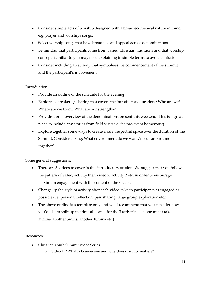- Consider simple acts of worship designed with a broad ecumenical nature in mind e.g. prayer and worships songs.
- Select worship songs that have broad use and appeal across denominations
- Be mindful that participants come from varied Christian traditions and that worship concepts familiar to you may need explaining in simple terms to avoid confusion.
- Consider including an activity that symbolises the commencement of the summit and the participant's involvement.

#### Introduction

- Provide an outline of the schedule for the evening
- Explore icebreakers / sharing that covers the introductory questions: Who are we? Where are we from? What are our strengths?
- Provide a brief overview of the denominations present this weekend (This is a great place to include any stories from field visits i.e. the pre-event homework)
- Explore together some ways to create a safe, respectful space over the duration of the Summit. Consider asking: What environment do we want/need for our time together?

Some general suggestions:

- There are 3 videos to cover in this introductory session. We suggest that you follow the pattern of video, activity then video 2, activity 2 etc. in order to encourage maximum engagement with the content of the videos.
- Change up the style of activity after each video to keep participants as engaged as possible (i.e. personal reflection, pair sharing, large group exploration etc.)
- The above outline is a template only and we'd recommend that you consider how you'd like to split up the time allocated for the 3 activities (i.e. one might take 15mins, another 5mins, another 10mins etc.)

#### **Resources:**

- Christian Youth Summit Video Series
	- o Video 1: "What is Ecumenism and why does disunity matter?"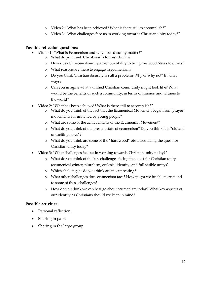- o Video 2: "What has been achieved? What is there still to accomplish?"
- o Video 3: "What challenges face us in working towards Christian unity today?"

#### **Possible reflection questions:**

- Video 1: "What is Ecumenism and why does disunity matter?"
	- o What do you think Christ wants for his Church?
	- o How does Christian disunity affect our ability to bring the Good News to others?
	- o What reasons are there to engage in ecumenism?
	- o Do you think Christian disunity is still a problem? Why or why not? In what ways?
	- o Can you imagine what a unified Christian community might look like? What would be the benefits of such a community, in terms of mission and witness to the world?
- Video 2: "What has been achieved? What is there still to accomplish?"
	- o What do you think of the fact that the Ecumenical Movement began from prayer movements for unity led by young people?
	- o What are some of the achievements of the Ecumenical Movement?
	- o What do you think of the present state of ecumenism? Do you think it is "old and unexciting news"?
	- o What do you think are some of the "hardwood" obstacles facing the quest for Christian unity today?
- Video 3: "What challenges face us in working towards Christian unity today?"
	- o What do you think of the key challenges facing the quest for Christian unity (ecumenical winter, pluralism, ecclesial identity, and full visible unity)?
	- o Which challenge/s do you think are most pressing?
	- o What other challenges does ecumenism face? How might we be able to respond to some of these challenges?
	- o How do you think we can best go about ecumenism today? What key aspects of our identity as Christians should we keep in mind?

#### **Possible activities:**

- Personal reflection
- Sharing in pairs
- Sharing in the large group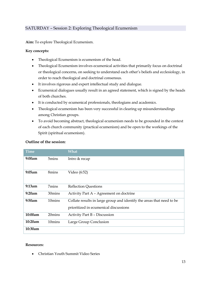#### SATURDAY – Session 2: Exploring Theological Ecumenism

**Aim:** To explore Theological Ecumenism.

#### **Key concepts:**

- Theological Ecumenism is ecumenism of the head.
- Theological Ecumenism involves ecumenical activities that primarily focus on doctrinal or theological concerns, on seeking to understand each other's beliefs and ecclesiology, in order to reach theological and doctrinal consensus.
- It involves rigorous and expert intellectual study and dialogue.
- Ecumenical dialogues usually result in an agreed statement, which is signed by the heads of both churches.
- It is conducted by ecumenical professionals, theologians and academics.
- Theological ecumenism has been very successful in clearing up misunderstandings among Christian groups.
- To avoid becoming abstract, theological ecumenism needs to be grounded in the context of each church community (practical ecumenism) and be open to the workings of the Spirit (spiritual ecumenism).

| Time    |                    | What                                                                                                           |
|---------|--------------------|----------------------------------------------------------------------------------------------------------------|
| 9:00am  | 5 <sub>mins</sub>  | Intro & recap                                                                                                  |
| 9:05am  | 8mins              | Video (6:52)                                                                                                   |
| 9:13am  | 7mins              | <b>Reflection Questions</b>                                                                                    |
| 9:20am  | 30mins             | Activity Part A - Agreement on doctrine                                                                        |
| 9:50am  | 10mins             | Collate results in large group and identify the areas that need to be<br>prioritized in ecumenical discussions |
| 10:00am | 20mins             | Activity Part B - Discussion                                                                                   |
| 10:20am | 10 <sub>mins</sub> | Large Group Conclusion                                                                                         |
| 10:30am |                    |                                                                                                                |

#### **Outline of the session:**

#### **Resources:**

Christian Youth Summit Video Series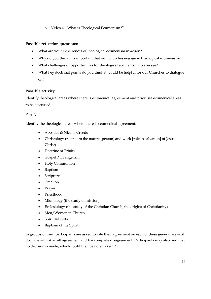o Video 4: "What is Theological Ecumenism?"

#### **Possible reflection questions:**

- What are your experiences of theological ecumenism in action?
- Why do you think it is important that our Churches engage in theological ecumenism?
- What challenges or opportunities for theological ecumenism do you see?
- What key doctrinal points do you think it would be helpful for our Churches to dialogue on?

#### **Possible activity:**

Identify theological areas where there is ecumenical agreement and prioritise ecumenical areas to be discussed.

#### Part A

Identify the theological areas where there is ecumenical agreement:

- Apostles & Nicene Creeds
- Christology (related to the nature [person] and work [role in salvation] of Jesus Christ)
- Doctrine of Trinity
- Gospel / Evangelism
- Holy Communion
- Baptism
- Scripture
- Creation
- Prayer
- Priesthood
- Missiology (the study of mission)
- Ecclesiology (the study of the Christian Church, the origins of Christianity)
- Men/Women in Church
- Spiritual Gifts
- Baptism of the Spirit

In groups of four, participants are asked to rate their agreement on each of these general areas of doctrine with  $A =$  full agreement and  $E =$  complete disagreement. Participants may also find that no decision is made, which could then be noted as a "?".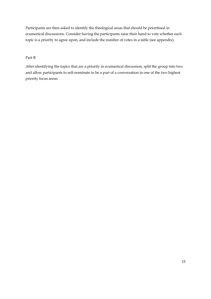Participants are then asked to identify the theological areas that should be prioritised in ecumenical discussions. Consider having the participants raise their hand to vote whether each topic is a priority to agree upon, and include the number of votes in a table (see appendix).

#### Part B

After identifying the topics that are a priority in ecumenical discussion, split the group into two and allow participants to self-nominate to be a part of a conversation in one of the two highest priority focus areas.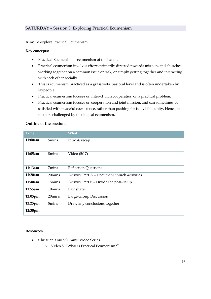#### SATURDAY – Session 3: Exploring Practical Ecumenism

**Aim:** To explore Practical Ecumenism.

#### **Key concepts:**

- Practical Ecumenism is ecumenism of the hands.
- Practical ecumenism involves efforts primarily directed towards mission, and churches working together on a common issue or task, or simply getting together and interacting with each other socially.
- This is ecumenism practiced as a grassroots, pastoral level and is often undertaken by laypeople.
- Practical ecumenism focuses on Inter-church cooperation on a practical problem.
- Practical ecumenism focuses on cooperation and joint mission, and can sometimes be satisfied with peaceful coexistence, rather than pushing for full visible unity. Hence, it must be challenged by theological ecumenism.

#### **Outline of the session:**

| <b>Time</b> |                   | <b>What</b>                                  |
|-------------|-------------------|----------------------------------------------|
| 11:00am     | 5mins             | Intro & recap                                |
| 11:05am     | 8mins             | Video (5:17)                                 |
| 11:13am     | 7mins             | <b>Reflection Questions</b>                  |
| 11:20am     | 20mins            | Activity Part A - Document church activities |
| 11:40am     | 15mins            | Activity Part B - Divide the post-its up     |
| 11:55am     | 10mins            | Pair share                                   |
| $12:05$ pm  | 20mins            | Large Group Discussion                       |
| $12:25$ pm  | 5 <sub>mins</sub> | Draw any conclusions together                |
| 12:30pm     |                   |                                              |

#### **Resources:**

- Christian Youth Summit Video Series
	- o Video 5: "What is Practical Ecumenism?"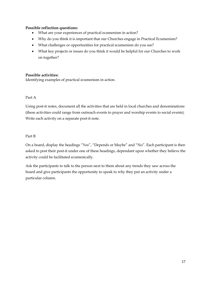#### **Possible reflection questions:**

- What are your experiences of practical ecumenism in action?
- Why do you think it is important that our Churches engage in Practical Ecumenism?
- What challenges or opportunities for practical ecumenism do you see?
- What key projects or issues do you think it would be helpful for our Churches to work on together?

#### **Possible activities:**

Identifying examples of practical ecumenism in action.

#### Part A

Using post-it notes, document all the activities that are held in local churches and denominations (these activities could range from outreach events to prayer and worship events to social events). Write each activity on a separate post-it note.

#### Part B

On a board, display the headings "Yes", "Depends or Maybe" and "No". Each participant is then asked to post their post-it under one of these headings, dependant upon whether they believe the activity could be facilitated ecumenically.

Ask the participants to talk to the person next to them about any trends they saw across the board and give participants the opportunity to speak to why they put an activity under a particular column.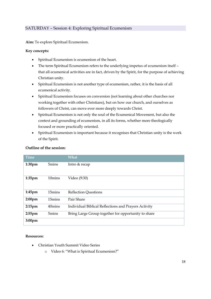#### SATURDAY – Session 4: Exploring Spiritual Ecumenism

**Aim:** To explore Spiritual Ecumenism.

#### **Key concepts:**

- Spiritual Ecumenism is ecumenism of the heart.
- The term Spiritual Ecumenism refers to the underlying impetus of ecumenism itself that all ecumenical activities are in fact, driven by the Spirit, for the purpose of achieving Christian unity.
- Spiritual Ecumenism is not another type of ecumenism, rather, it is the basis of all ecumenical activity.
- Spiritual Ecumenism focuses on conversion (not learning about other churches nor working together with other Christians), but on how our church, and ourselves as followers of Christ, can move ever more deeply towards Christ.
- Spiritual Ecumenism is not only the soul of the Ecumenical Movement, but also the context and grounding of ecumenism, in all its forms, whether more theologically focused or more practically oriented.
- Spiritual Ecumenism is important because it recognises that Christian unity is the work of the Spirit.

| Outline of the session: |  |
|-------------------------|--|
|-------------------------|--|

| <b>Time</b>        |                    | <b>What</b>                                          |
|--------------------|--------------------|------------------------------------------------------|
| 1:30 <sub>pm</sub> | 5 <sub>mins</sub>  | Intro & recap                                        |
| $1:35$ pm          | 10 <sub>mins</sub> | Video (9:30)                                         |
| $1:45$ pm          | 15mins             | <b>Reflection Questions</b>                          |
| 2:00 <sub>pm</sub> | 15mins             | Pair Share                                           |
| $2:15$ pm          | 40mins             | Individual Biblical Reflections and Prayers Activity |
| $2:55$ pm          | 5mins              | Bring Large Group together for opportunity to share  |
| 3:00 <sub>pm</sub> |                    |                                                      |

#### **Resources:**

- Christian Youth Summit Video Series
	- o Video 6: "What is Spiritual Ecumenism?"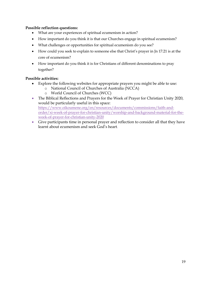#### **Possible reflection questions:**

- What are your experiences of spiritual ecumenism in action?
- How important do you think it is that our Churches engage in spiritual ecumenism?
- What challenges or opportunities for spiritual ecumenism do you see?
- How could you seek to explain to someone else that Christ's prayer in Jn 17:21 is at the core of ecumenism?
- How important do you think it is for Christians of different denominations to pray together?

#### **Possible activities:**

- Explore the following websites for appropriate prayers you might be able to use:
	- o National Council of Churches of Australia (NCCA)
	- o World Council of Churches (WCC)
- The Biblical Reflections and Prayers for the Week of Prayer for Christian Unity 2020, would be particularly useful in this space: [https://www.oikoumene.org/en/resources/documents/commissions/faith-and](https://www.oikoumene.org/en/resources/documents/commissions/faith-and-order/xi-week-of-prayer-for-christian-unity/worship-and-background-material-for-the-week-of-prayer-for-christian-unity-2020)[order/xi-week-of-prayer-for-christian-unity/worship-and-background-material-for-the](https://www.oikoumene.org/en/resources/documents/commissions/faith-and-order/xi-week-of-prayer-for-christian-unity/worship-and-background-material-for-the-week-of-prayer-for-christian-unity-2020)[week-of-prayer-for-christian-unity-2020](https://www.oikoumene.org/en/resources/documents/commissions/faith-and-order/xi-week-of-prayer-for-christian-unity/worship-and-background-material-for-the-week-of-prayer-for-christian-unity-2020)
- Give participants time in personal prayer and reflection to consider all that they have learnt about ecumenism and seek God's heart.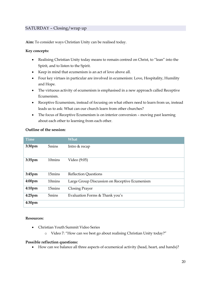### SATURDAY – Closing/wrap up

**Aim:** To consider ways Christian Unity can be realised today.

#### **Key concepts:**

- Realising Christian Unity today means to remain centred on Christ, to "lean" into the Spirit, and to listen to the Spirit.
- Keep in mind that ecumenism is an act of love above all.
- Four key virtues in particular are involved in ecumenism: Love, Hospitality, Humility and Hope.
- The virtuous activity of ecumenism is emphasised in a new approach called Receptive Ecumenism.
- Receptive Ecumenism, instead of focusing on what others need to learn from us, instead leads us to ask: What can our church learn from other churches?
- The focus of Receptive Ecumenism is on interior conversion moving past learning about each other to learning from each other.

#### **Outline of the session:**

| <b>Time</b>        |                   | What                                          |
|--------------------|-------------------|-----------------------------------------------|
| 3:30pm             | 5 <sub>mins</sub> | Intro & recap                                 |
| 3:35pm             | 10mins            | Video (9:05)                                  |
| 3:45pm             | 15mins            | <b>Reflection Questions</b>                   |
| 4:00 <sub>pm</sub> | 10mins            | Large Group Discussion on Receptive Ecumenism |
| 4:10 <sub>pm</sub> | 15mins            | Closing Prayer                                |
| $4:25$ pm          | 5mins             | Evaluation Forms & Thank you's                |
| 4:30 <sub>pm</sub> |                   |                                               |

#### **Resources:**

- Christian Youth Summit Video Series
	- o Video 7: "How can we best go about realising Christian Unity today?"

#### **Possible reflection questions:**

How can we balance all three aspects of ecumenical activity (head, heart, and hands)?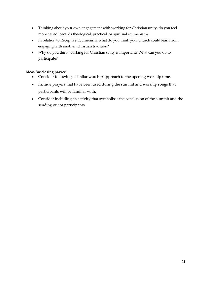- Thinking about your own engagement with working for Christian unity, do you feel more called towards theological, practical, or spiritual ecumenism?
- In relation to Receptive Ecumenism, what do you think your church could learn from engaging with another Christian tradition?
- Why do you think working for Christian unity is important? What can you do to participate?

#### **Ideas for closing prayer:**

- Consider following a similar worship approach to the opening worship time.
- Include prayers that have been used during the summit and worship songs that participants will be familiar with.
- Consider including an activity that symbolises the conclusion of the summit and the sending out of participants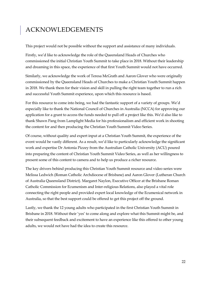# <span id="page-22-0"></span>ACKNOWLEDGEMENTS

This project would not be possible without the support and assistance of many individuals.

Firstly, we'd like to acknowledge the role of the Queensland Heads of Churches who commissioned the initial Christian Youth Summit to take place in 2018. Without their leadership and dreaming in this space, the experience of that first Youth Summit would not have occurred.

Similarly, we acknowledge the work of Teresa McGrath and Aaron Glover who were originally commissioned by the Queensland Heads of Churches to make a Christian Youth Summit happen in 2018. We thank them for their vision and skill in pulling the right team together to run a rich and successful Youth Summit experience, upon which this resource is based.

For this resource to come into being, we had the fantastic support of a variety of groups. We'd especially like to thank the National Council of Churches in Australia (NCCA) for approving our application for a grant to access the funds needed to pull off a project like this. We'd also like to thank Shawn Pang from Lamplight Media for his professionalism and efficient work in shooting the content for and then producing the Christian Youth Summit Video Series.

Of course, without quality and expert input at a Christian Youth Summit, the experience of the event would be vastly different. As a result, we'd like to particularly acknowledge the significant work and expertise Dr Antonia Pizzey from the Australian Catholic University (ACU) poured into preparing the content of Christian Youth Summit Video Series, as well as her willingness to present some of this content to camera and to help us produce a richer resource.

The key drivers behind producing this Christian Youth Summit resource and video series were Melissa Ledwich (Roman Catholic Archdiocese of Brisbane) and Aaron Glover (Lutheran Church of Australia Queensland District). Margaret Naylon, Executive Officer at the Brisbane Roman Catholic Commission for Ecumenism and Inter-religious Relations, also played a vital role connecting the right people and provided expert local knowledge of the Ecumenical network in Australia, so that the best support could be offered to get this project off the ground.

Lastly, we thank the 12 young adults who participated in the first Christian Youth Summit in Brisbane in 2018. Without their 'yes' to come along and explore what this Summit might be, and their subsequent feedback and excitement to have an experience like this offered to other young adults, we would not have had the idea to create this resource.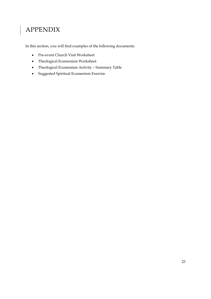# <span id="page-23-0"></span>APPENDIX

In this section, you will find examples of the following documents:

- Pre-event Church Visit Worksheet
- Theological Ecumenism Worksheet
- Theological Ecumenism Activity Summary Table
- Suggested Spiritual Ecumenism Exercise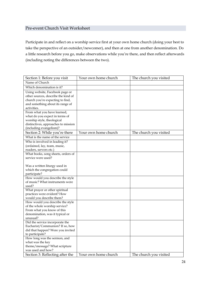#### Pre-event Church Visit Worksheet

Participate in and reflect on a worship service first at your own home church (doing your best to take the perspective of an outsider/newcomer), and then at one from another denomination. Do a little research before you go, make observations while you're there, and then reflect afterwards (including noting the differences between the two).

| Section 1: Before you visit         | Your own home church | The church you visited |
|-------------------------------------|----------------------|------------------------|
| Name of Church                      |                      |                        |
| Which denomination is it?           |                      |                        |
| Using website, Facebook page or     |                      |                        |
| other sources, describe the kind of |                      |                        |
| church you're expecting to find,    |                      |                        |
| and something about its range of    |                      |                        |
| activities.                         |                      |                        |
| From what you have learned,         |                      |                        |
| what do you expect in terms of      |                      |                        |
| worship style, theological          |                      |                        |
| distinctives, approaches to mission |                      |                        |
| (including evangelism)?             |                      |                        |
| Section 2: While you're there       | Your own home church | The church you visited |
| What is the name of the service     |                      |                        |
| Who is involved in leading it?      |                      |                        |
| (ordained, lay, team, music,        |                      |                        |
| readers, servers etc.)              |                      |                        |
| What books, song sheets, orders of  |                      |                        |
| service were used?                  |                      |                        |
|                                     |                      |                        |
| Was a written liturgy used in       |                      |                        |
| which the congregation could        |                      |                        |
| participate?                        |                      |                        |
| How would you describe the style    |                      |                        |
| of music? What instruments were     |                      |                        |
| used?                               |                      |                        |
| What prayer or other spiritual      |                      |                        |
| practices were evident? How         |                      |                        |
| would you describe them?            |                      |                        |
| How would you describe the style    |                      |                        |
| of the whole worship service?       |                      |                        |
| From what you know of this          |                      |                        |
| denomination, was it typical or     |                      |                        |
| unusual?                            |                      |                        |
| Did the service incorporate the     |                      |                        |
| Eucharist/Communion? If so, how     |                      |                        |
| did that happen? Were you invited   |                      |                        |
| to participate?                     |                      |                        |
| How long was the sermon, and        |                      |                        |
| what was the key                    |                      |                        |
| theme/message? What scripture       |                      |                        |
| was used and how?                   |                      |                        |
| Section 3: Reflecting after the     | Your own home church | The church you visited |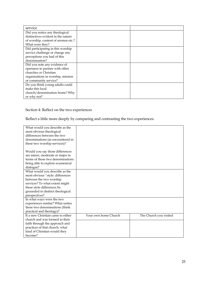| service                             |  |
|-------------------------------------|--|
| Did you notice any theological      |  |
| distinctives evident in the nature  |  |
| of worship, content of sermon etc.? |  |
| What were they?                     |  |
| Did participating in this worship   |  |
| service challenge or change any     |  |
| perceptions you had of this         |  |
| denomination?                       |  |
| Did you note any evidence of        |  |
| openness to partner with other      |  |
| churches or Christian               |  |
| organisations in worship, mission   |  |
| or community service?               |  |
| Do you think young adults could     |  |
| make this local                     |  |
| church/denomination home? Why       |  |
| or why not?                         |  |

### Section 4: Reflect on the two experiences

Reflect a little more deeply by comparing and contrasting the two experiences.

| What would you describe as the    |                      |                        |
|-----------------------------------|----------------------|------------------------|
| most obvious theological          |                      |                        |
| differences between the two       |                      |                        |
| denominations (as encountered in  |                      |                        |
| these two worship services)?      |                      |                        |
|                                   |                      |                        |
| Would you say those differences   |                      |                        |
| are minor, moderate or major in   |                      |                        |
| terms of those two denominations  |                      |                        |
| being able to explore ecumenical  |                      |                        |
| dialogue?                         |                      |                        |
| What would you describe as the    |                      |                        |
| most obvious "style: differences  |                      |                        |
| between the two worship           |                      |                        |
| services? To what extent might    |                      |                        |
| these style differences be        |                      |                        |
| grounded in distinct theological  |                      |                        |
| perspectives?                     |                      |                        |
| In what ways were the two         |                      |                        |
| experiences similar? What unites  |                      |                        |
| these two denominations (think    |                      |                        |
| practical and theology)?          |                      |                        |
| If a new Christian came to either | Your own home Church | The Church you visited |
| church and was formed in their    |                      |                        |
| faith through the approach and    |                      |                        |
| practices of that church, what    |                      |                        |
| kind of Christian would they      |                      |                        |
| become?                           |                      |                        |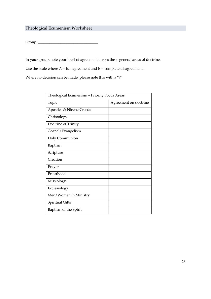## Theological Ecumenism Worksheet

Group: \_\_\_\_\_\_\_\_\_\_\_\_\_\_\_\_\_\_\_\_\_\_\_\_\_\_\_\_\_\_\_\_

In your group, note your level of agreement across these general areas of doctrine.

Use the scale where  $A = full agreement$  and  $E = complete$  disagreement.

Where no decision can be made, please note this with a "?"

| Theological Ecumenism - Priority Focus Areas |                       |  |  |  |  |
|----------------------------------------------|-----------------------|--|--|--|--|
| Topic                                        | Agreement on doctrine |  |  |  |  |
| Apostles & Nicene Creeds                     |                       |  |  |  |  |
| Christology                                  |                       |  |  |  |  |
| Doctrine of Trinity                          |                       |  |  |  |  |
| Gospel/Evangelism                            |                       |  |  |  |  |
| Holy Communion                               |                       |  |  |  |  |
| Baptism                                      |                       |  |  |  |  |
| Scripture                                    |                       |  |  |  |  |
| Creation                                     |                       |  |  |  |  |
| Prayer                                       |                       |  |  |  |  |
| Priesthood                                   |                       |  |  |  |  |
| Missiology                                   |                       |  |  |  |  |
| Ecclesiology                                 |                       |  |  |  |  |
| Men/Women in Ministry                        |                       |  |  |  |  |
| <b>Spiritual Gifts</b>                       |                       |  |  |  |  |
| Baptism of the Spirit                        |                       |  |  |  |  |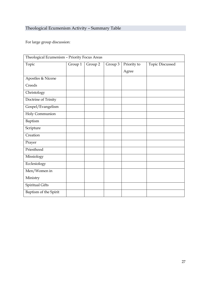# Theological Ecumenism Activity – Summary Table

For large group discussion:

| Theological Ecumenism - Priority Focus Areas |         |         |         |             |                        |
|----------------------------------------------|---------|---------|---------|-------------|------------------------|
| Topic                                        | Group 1 | Group 2 | Group 3 | Priority to | <b>Topic Discussed</b> |
|                                              |         |         |         | Agree       |                        |
| Apostles & Nicene                            |         |         |         |             |                        |
| Creeds                                       |         |         |         |             |                        |
| Christology                                  |         |         |         |             |                        |
| Doctrine of Trinity                          |         |         |         |             |                        |
| Gospel/Evangelism                            |         |         |         |             |                        |
| Holy Communion                               |         |         |         |             |                        |
| Baptism                                      |         |         |         |             |                        |
| Scripture                                    |         |         |         |             |                        |
| Creation                                     |         |         |         |             |                        |
| Prayer                                       |         |         |         |             |                        |
| Priesthood                                   |         |         |         |             |                        |
| Missiology                                   |         |         |         |             |                        |
| Ecclesiology                                 |         |         |         |             |                        |
| Men/Women in                                 |         |         |         |             |                        |
| Ministry                                     |         |         |         |             |                        |
| Spiritual Gifts                              |         |         |         |             |                        |
| Baptism of the Spirit                        |         |         |         |             |                        |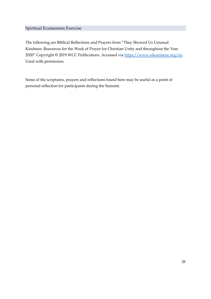#### Spiritual Ecumenism Exercise

The following are Biblical Reflections and Prayers from "They Showed Us Unusual Kindness: Resources for the Week of Prayer for Christian Unity and throughout the Year 2020" Copyright © 2019 WCC Publications. Accessed via [https://www.oikoumene.org/en.](https://protect-au.mimecast.com/s/nHRdCANp7AcZjNOF9y-hy?domain=oikoumene.org) Used with permission.

Some of the scriptures, prayers and reflections found here may be useful as a point of personal reflection for participants during the Summit.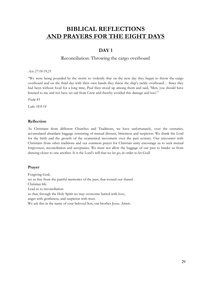# **BIBLICAL REFLECTIONS AND PRAYERS FOR THE EIGHT DAYS**

#### **DAY 1**

#### Reconciliation: Throwing the cargo overboard

#### *Acts 27:18-19,21*

"We were being pounded by the storm so violently that on the next day they began to throw the cargo overboard and on the third day with their own hands they threw the ship's tackle overboard… Since they had been without food for a long time, Paul then stood up among them and said, 'Men, you should have listened to me and not have set sail from Crete and thereby avoided this damage and loss'."

*Psalm 85*

*Luke 18:9-14*

#### **Reflection**

As Christians from different Churches and Traditions, we have unfortunately, over the centuries, accumulated abundant baggage consisting of mutual distrust, bitterness and suspicion. We thank the Lord for the birth and the growth of the ecumenical movement over the past century. Our encounter with Christians from other traditions and our common prayer for Christian unity encourage us to seek mutual forgiveness, reconciliation and acceptance. We must not allow the baggage of our past to hinder us from drawing closer to one another. It is the Lord's will that we let go, in order to let God!

#### **Prayer**

Forgiving God, set us free from the painful memories of the past, that wound our shared Christian life. Lead us to reconciliation so that, through the Holy Spirit we may overcome hatred with love, anger with gentleness, and suspicion with trust. We ask this in the name of your beloved Son, our brother Jesus. Amen.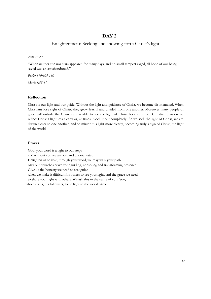#### Enlightenment: Seeking and showing forth Christ's light

*Acts 27:20*

"When neither sun nor stars appeared for many days, and no small tempest raged, all hope of our being saved was at last abandoned."

*Psalm 119:105-110*

*Mark 4:35-41*

#### **Reflection**

Christ is our light and our guide. Without the light and guidance of Christ, we become disorientated. When Christians lose sight of Christ, they grow fearful and divided from one another. Moreover many people of good will outside the Church are unable to see the light of Christ because in our Christian division we reflect Christ's light less clearly or, at times, block it out completely. As we seek the light of Christ, we are drawn closer to one another, and so mirror this light more clearly, becoming truly a sign of Christ, the light of the world.

#### **Prayer**

God, your word is a light to our steps and without you we are lost and disorientated. Enlighten us so that, through your word, we may walk your path. May our churches crave your guiding, consoling and transforming presence. Give us the honesty we need to recognize when we make it difficult for others to see your light, and the grace we need to share your light with others. We ask this in the name of your Son, who calls us, his followers, to be light to the world. Amen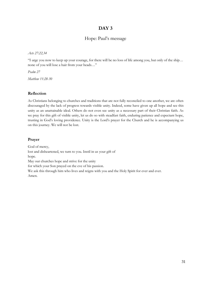### Hope: Paul's message

*Acts 27:22,34*

"I urge you now to keep up your courage, for there will be no loss of life among you, but only of the ship… none of you will lose a hair from your heads…"

*Psalm 27*

*Matthew 11:28-30*

#### **Reflection**

As Christians belonging to churches and traditions that are not fully reconciled to one another, we are often discouraged by the lack of progress towards visible unity. Indeed, some have given up all hope and see this unity as an unattainable ideal. Others do not even see unity as a necessary part of their Christian faith. As we pray for this gift of visible unity, let us do so with steadfast faith, enduring patience and expectant hope, trusting in God's loving providence. Unity is the Lord's prayer for the Church and he is accompanying us on this journey. We will not be lost.

#### **Prayer**

God of mercy, lost and disheartened, we turn to you. Instil in us your gift of hope. May our churches hope and strive for the unity for which your Son prayed on the eve of his passion. We ask this through him who lives and reigns with you and the Holy Spirit for ever and ever. Amen.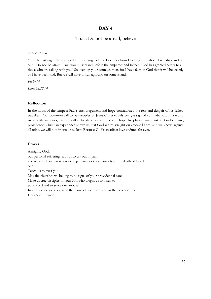#### Trust: Do not be afraid, believe

*Acts 27:23-26*

"For the last night there stood by me an angel of the God to whom I belong and whom I worship, and he said, 'Do not be afraid, Paul; you must stand before the emperor; and indeed, God has granted safety to all those who are sailing with you.' So keep up your courage, men, for I have faith in God that it will be exactly as I have been told. But we will have to run aground on some island."

*Psalm 56*

*Luke 12:22-34*

#### **Reflection**

In the midst of the tempest Paul's encouragement and hope contradicted the fear and despair of his fellow travellers. Our common call to be disciples of Jesus Christ entails being a sign of contradiction. In a world riven with anxieties, we are called to stand as witnesses to hope by placing our trust in God's loving providence. Christian experience shows us that God writes straight on crooked lines, and we know, against all odds, we will not drown or be lost. Because God's steadfast love endures for ever.

#### **Prayer**

Almighty God, our personal suffering leads us to cry out in pain and we shrink in fear when we experience sickness, anxiety or the death of loved ones. Teach us to trust you. May the churches we belong to be signs of your providential care. Make us true disciples of your Son who taught us to listen to your word and to serve one another. In confidence we ask this in the name of your Son, and in the power of the Holy Spirit. Amen.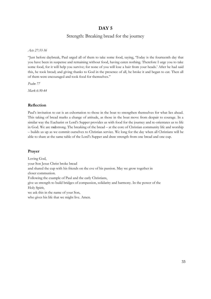#### Strength: Breaking bread for the journey

*Acts 27:33-36*

"Just before daybreak, Paul urged all of them to take some food, saying, 'Today is the fourteenth day that you have been in suspense and remaining without food, having eaten nothing. Therefore I urge you to take some food, for it will help you survive; for none of you will lose a hair from your heads.' After he had said this, he took bread; and giving thanks to God in the presence of all, he broke it and began to eat. Then all of them were encouraged and took food for themselves."

*Psalm 77*

*Mark 6:30-44*

#### **Reflection**

Paul's invitation to eat is an exhortation to those in the boat to strengthen themselves for what lies ahead. This taking of bread marks a change of attitude, as those in the boat move from despair to courage. In a similar way the Eucharist or Lord's Supper provides us with food for the journey and re-orientates us to life in God. We are matstrong. The breaking of the bread – at the core of Christian community life and worship – builds us up as we commit ourselves to Christian service. We long for the day when all Christians will be able to share at the same table of the Lord's Supper and draw strength from one bread and one cup.

#### **Prayer**

Loving God, your Son Jesus Christ broke bread and shared the cup with his friends on the eve of his passion. May we grow together in closer communion. Following the example of Paul and the early Christians, give us strength to build bridges of compassion, solidarity and harmony. In the power of the Holy Spirit, we ask this in the name of your Son, who gives his life that we might live. Amen.

33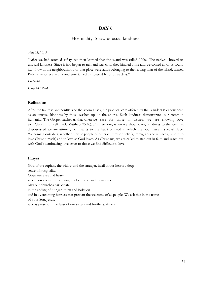#### Hospitality: Show unusual kindness

*Acts 28:1-2, 7*

"After we had reached safety, we then learned that the island was called Malta. The natives showed us unusual kindness. Since it had begun to rain and was cold, they kindled a fire and welcomed all of us round it… Now in the neighbourhood of that place were lands belonging to the leading man of the island, named Publius, who received us and entertained us hospitably for three days."

*Psalm 46*

*Luke 14:12-24*

#### **Reflection**

After the traumas and conflicts of the storm at sea, the practical care offered by the islanders is experienced as an unusual kindness by those washed up on the shores. Such kindness demonstrates our common humanity. The Gospel teaches us that when we care for those in distress we are showing love to Christ himself (cf. Matthew 25:40). Furthermore, when we show loving kindness to the weak and dispossessed we are attuning our hearts to the heart of God in which the poor have a special place. Welcoming outsiders, whether they be people of other cultures or beliefs, immigrants or refugees, is both to love Christ himself, and to love as God loves. As Christians, we are called to step out in faith and reach out with God's alembracing love, even to those we find difficult to love.

#### **Prayer**

God of the orphan, the widow and the stranger, instil in our hearts a deep sense of hospitality. Open our eyes and hearts when you ask us to feed you, to clothe you and to visit you. May our churches participate in the ending of hunger, thirst and isolation and in overcoming barriers that prevent the welcome of allpeople. We ask this in the name of your Son, Jesus, who is present in the least of our sisters and brothers. Amen.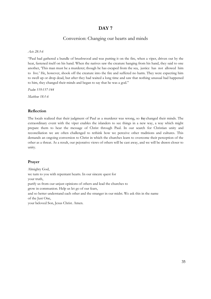#### Conversion: Changing our hearts and minds

#### *Acts 28:3-6*

"Paul had gathered a bundle of brushwood and was putting it on the fire, when a viper, driven out by the heat, fastened itself on his hand. When the natives saw the creature hanging from his hand, they said to one another, 'This man must be a murderer; though he has escaped from the sea, justice has not allowed him to live.' He, however, shook off the creature into the fire and suffered no harm. They were expecting him to swell up or drop dead, but after they had waited a long time and saw that nothing unusual had happened to him, they changed their minds and began to say that he was a god."

*Psalm 119:137-144*

*Matthew 18:1-6*

#### **Reflection**

The locals realized that their judgment of Paul as a murderer was wrong, so they changed their minds. The extraordinary event with the viper enables the islanders to see things in a new way, a way which might prepare them to hear the message of Christ through Paul. In our search for Christian unity and reconciliation we are often challenged to rethink how we perceive other traditions and cultures. This demands an ongoing conversion to Christ in which the churches learn to overcome their perception of the other as a threat. As a result, our pejorative views of others will be cast away, and we will be drawn closer to unity.

#### **Prayer**

Almighty God, we turn to you with repentant hearts. In our sincere quest for your truth, purify us from our unjust opinions of others and lead the churches to grow in communion. Help us let go of our fears, and so better understand each other and the stranger in our midst. We ask this in the name of the Just One, your beloved Son, Jesus Christ. Amen.